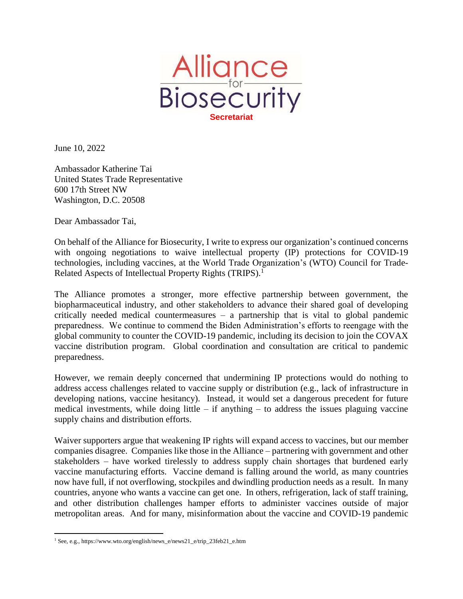

June 10, 2022

Ambassador Katherine Tai United States Trade Representative 600 17th Street NW Washington, D.C. 20508

Dear Ambassador Tai,

On behalf of the Alliance for Biosecurity, I write to express our organization's continued concerns with ongoing negotiations to waive intellectual property (IP) protections for COVID-19 technologies, including vaccines, at the World Trade Organization's (WTO) Council for Trade-Related Aspects of Intellectual Property Rights (TRIPS).<sup>1</sup>

The Alliance promotes a stronger, more effective partnership between government, the biopharmaceutical industry, and other stakeholders to advance their shared goal of developing critically needed medical countermeasures – a partnership that is vital to global pandemic preparedness. We continue to commend the Biden Administration's efforts to reengage with the global community to counter the COVID-19 pandemic, including its decision to join the COVAX vaccine distribution program. Global coordination and consultation are critical to pandemic preparedness.

However, we remain deeply concerned that undermining IP protections would do nothing to address access challenges related to vaccine supply or distribution (e.g., lack of infrastructure in developing nations, vaccine hesitancy). Instead, it would set a dangerous precedent for future medical investments, while doing little – if anything – to address the issues plaguing vaccine supply chains and distribution efforts.

Waiver supporters argue that weakening IP rights will expand access to vaccines, but our member companies disagree. Companies like those in the Alliance – partnering with government and other stakeholders – have worked tirelessly to address supply chain shortages that burdened early vaccine manufacturing efforts. Vaccine demand is falling around the world, as many countries now have full, if not overflowing, stockpiles and dwindling production needs as a result. In many countries, anyone who wants a vaccine can get one. In others, refrigeration, lack of staff training, and other distribution challenges hamper efforts to administer vaccines outside of major metropolitan areas. And for many, misinformation about the vaccine and COVID-19 pandemic

 $\overline{a}$ 

<sup>1</sup> See, e.g., https://www.wto.org/english/news\_e/news21\_e/trip\_23feb21\_e.htm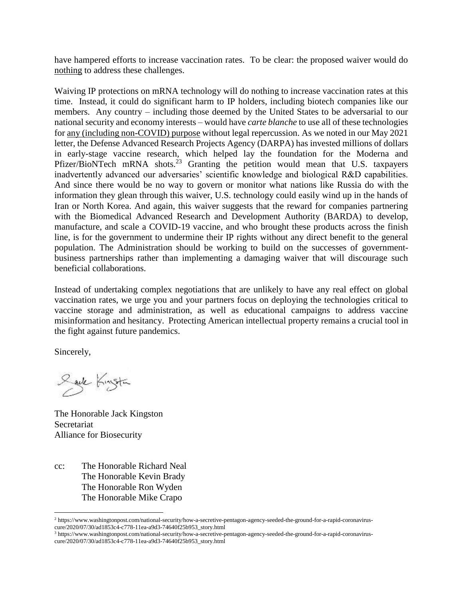have hampered efforts to increase vaccination rates. To be clear: the proposed waiver would do nothing to address these challenges.

Waiving IP protections on mRNA technology will do nothing to increase vaccination rates at this time. Instead, it could do significant harm to IP holders, including biotech companies like our members. Any country – including those deemed by the United States to be adversarial to our national security and economy interests – would have *carte blanche* to use all of these technologies for any (including non-COVID) purpose without legal repercussion. As we noted in our May 2021 letter, the Defense Advanced Research Projects Agency (DARPA) has invested millions of dollars in early-stage vaccine research, which helped lay the foundation for the Moderna and Pfizer/BioNTech mRNA shots.<sup>23</sup> Granting the petition would mean that U.S. taxpayers inadvertently advanced our adversaries' scientific knowledge and biological R&D capabilities. And since there would be no way to govern or monitor what nations like Russia do with the information they glean through this waiver, U.S. technology could easily wind up in the hands of Iran or North Korea. And again, this waiver suggests that the reward for companies partnering with the Biomedical Advanced Research and Development Authority (BARDA) to develop, manufacture, and scale a COVID-19 vaccine, and who brought these products across the finish line, is for the government to undermine their IP rights without any direct benefit to the general population. The Administration should be working to build on the successes of governmentbusiness partnerships rather than implementing a damaging waiver that will discourage such beneficial collaborations.

Instead of undertaking complex negotiations that are unlikely to have any real effect on global vaccination rates, we urge you and your partners focus on deploying the technologies critical to vaccine storage and administration, as well as educational campaigns to address vaccine misinformation and hesitancy. Protecting American intellectual property remains a crucial tool in the fight against future pandemics.

Sincerely,

 $\overline{a}$ 

Saile Kingstin

The Honorable Jack Kingston Secretariat Alliance for Biosecurity

cc: The Honorable Richard Neal The Honorable Kevin Brady The Honorable Ron Wyden The Honorable Mike Crapo

<sup>2</sup> https://www.washingtonpost.com/national-security/how-a-secretive-pentagon-agency-seeded-the-ground-for-a-rapid-coronaviruscure/2020/07/30/ad1853c4-c778-11ea-a9d3-74640f25b953\_story.html

<sup>3</sup> https://www.washingtonpost.com/national-security/how-a-secretive-pentagon-agency-seeded-the-ground-for-a-rapid-coronaviruscure/2020/07/30/ad1853c4-c778-11ea-a9d3-74640f25b953\_story.html